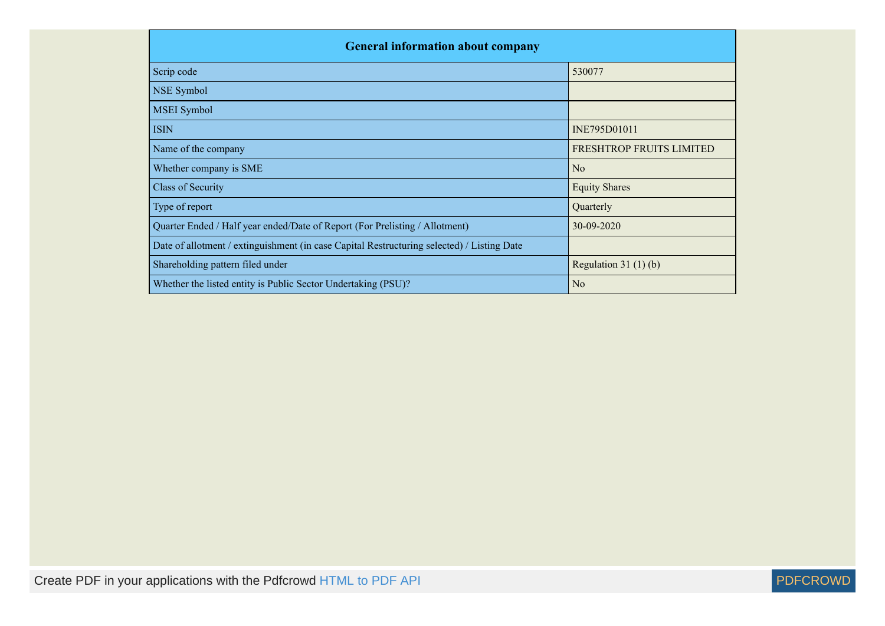| <b>General information about company</b>                                                   |                          |  |  |  |  |  |  |  |
|--------------------------------------------------------------------------------------------|--------------------------|--|--|--|--|--|--|--|
| Scrip code                                                                                 | 530077                   |  |  |  |  |  |  |  |
| NSE Symbol                                                                                 |                          |  |  |  |  |  |  |  |
| <b>MSEI</b> Symbol                                                                         |                          |  |  |  |  |  |  |  |
| <b>ISIN</b>                                                                                | INE795D01011             |  |  |  |  |  |  |  |
| Name of the company                                                                        | FRESHTROP FRUITS LIMITED |  |  |  |  |  |  |  |
| Whether company is SME                                                                     | No                       |  |  |  |  |  |  |  |
| <b>Class of Security</b>                                                                   | <b>Equity Shares</b>     |  |  |  |  |  |  |  |
| Type of report                                                                             | Quarterly                |  |  |  |  |  |  |  |
| Quarter Ended / Half year ended/Date of Report (For Prelisting / Allotment)                | 30-09-2020               |  |  |  |  |  |  |  |
| Date of allotment / extinguishment (in case Capital Restructuring selected) / Listing Date |                          |  |  |  |  |  |  |  |
| Shareholding pattern filed under                                                           | Regulation $31(1)(b)$    |  |  |  |  |  |  |  |
| Whether the listed entity is Public Sector Undertaking (PSU)?                              | N <sub>0</sub>           |  |  |  |  |  |  |  |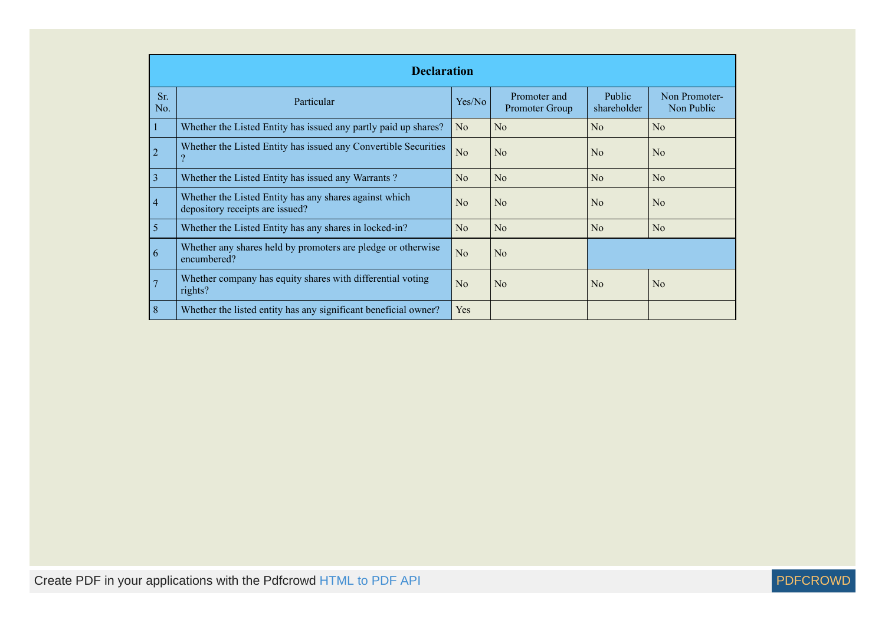|                | <b>Declaration</b>                                                                        |                |                                |                              |                             |  |  |  |  |
|----------------|-------------------------------------------------------------------------------------------|----------------|--------------------------------|------------------------------|-----------------------------|--|--|--|--|
| Sr.<br>No.     | Particular                                                                                | Yes/No         | Promoter and<br>Promoter Group | <b>Public</b><br>shareholder | Non Promoter-<br>Non Public |  |  |  |  |
|                | Whether the Listed Entity has issued any partly paid up shares?                           | No             | No                             | No                           | No                          |  |  |  |  |
| $\overline{2}$ | Whether the Listed Entity has issued any Convertible Securities<br>$\Omega$               | N <sub>o</sub> | No                             | No                           | No                          |  |  |  |  |
| $\overline{3}$ | Whether the Listed Entity has issued any Warrants?                                        | No             | No                             | No                           | No                          |  |  |  |  |
| $\overline{4}$ | Whether the Listed Entity has any shares against which<br>depository receipts are issued? | No             | No                             | No                           | No                          |  |  |  |  |
| 5              | Whether the Listed Entity has any shares in locked-in?                                    | No             | No                             | No                           | No                          |  |  |  |  |
| 6              | Whether any shares held by promoters are pledge or otherwise<br>encumbered?               | N <sub>o</sub> | No                             |                              |                             |  |  |  |  |
| 7              | Whether company has equity shares with differential voting<br>rights?                     | No             | No                             | $\rm No$                     | No                          |  |  |  |  |
| 8              | Whether the listed entity has any significant beneficial owner?                           | Yes            |                                |                              |                             |  |  |  |  |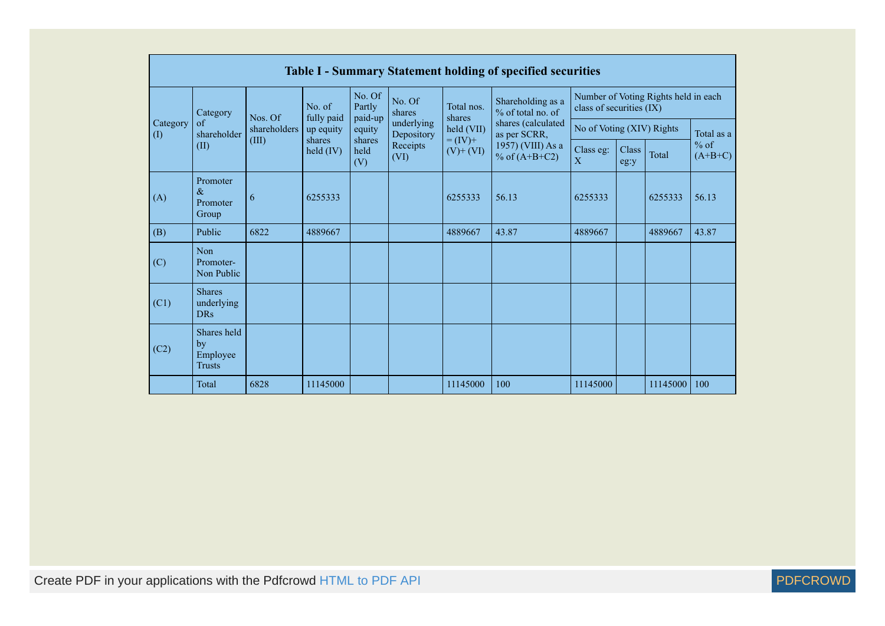|                                        | <b>Table I - Summary Statement holding of specified securities</b> |              |                      |                             |                                        |                              |                                          |                           |               |                                      |                     |  |
|----------------------------------------|--------------------------------------------------------------------|--------------|----------------------|-----------------------------|----------------------------------------|------------------------------|------------------------------------------|---------------------------|---------------|--------------------------------------|---------------------|--|
|                                        | Category                                                           | Nos. Of      | No. of<br>fully paid | No. Of<br>Partly<br>paid-up | No. Of<br>shares                       | Total nos.<br>shares         | Shareholding as a<br>$%$ of total no. of | class of securities (IX)  |               | Number of Voting Rights held in each |                     |  |
| Category<br>$\left( \mathrm{I}\right)$ | $\alpha$ f<br>shareholder                                          | shareholders | up equity            | equity                      | underlying<br>held (VII)<br>Depository |                              | shares (calculated<br>as per SCRR,       | No of Voting (XIV) Rights |               |                                      | Total as a          |  |
|                                        | (II)                                                               | (III)        | shares<br>held (IV)  | shares<br>held<br>(V)       | Receipts<br>(VI)                       | $= (IV) +$<br>$(V)$ + $(VI)$ | 1957) (VIII) As a<br>% of $(A+B+C2)$     | Class eg:<br>$\mathbf{X}$ | Class<br>eg:y | Total                                | $%$ of<br>$(A+B+C)$ |  |
| (A)                                    | Promoter<br>$\&$<br>Promoter<br>Group                              | 6            | 6255333              |                             |                                        | 6255333                      | 56.13                                    | 6255333                   |               | 6255333                              | 56.13               |  |
| (B)                                    | Public                                                             | 6822         | 4889667              |                             |                                        | 4889667                      | 43.87                                    | 4889667                   |               | 4889667                              | 43.87               |  |
| (C)                                    | <b>Non</b><br>Promoter-<br>Non Public                              |              |                      |                             |                                        |                              |                                          |                           |               |                                      |                     |  |
| (C1)                                   | <b>Shares</b><br>underlying<br><b>DRs</b>                          |              |                      |                             |                                        |                              |                                          |                           |               |                                      |                     |  |
| (C2)                                   | Shares held<br>by<br>Employee<br><b>Trusts</b>                     |              |                      |                             |                                        |                              |                                          |                           |               |                                      |                     |  |
|                                        | Total                                                              | 6828         | 11145000             |                             |                                        | 11145000                     | 100                                      | 11145000                  |               | 11145000                             | 100                 |  |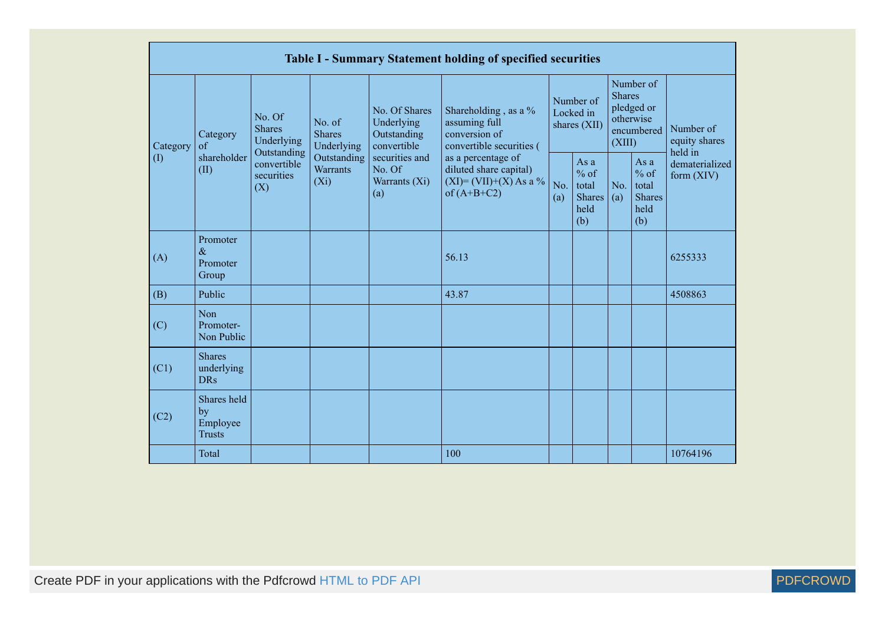|              |                                                |                                                 |                                           |                                                           | Table I - Summary Statement holding of specified securities                                |                                        |                                                         |                                                                               |                                                         |                                       |
|--------------|------------------------------------------------|-------------------------------------------------|-------------------------------------------|-----------------------------------------------------------|--------------------------------------------------------------------------------------------|----------------------------------------|---------------------------------------------------------|-------------------------------------------------------------------------------|---------------------------------------------------------|---------------------------------------|
| Category     | Category<br>of                                 | No. Of<br><b>Shares</b><br>Underlying           | No. of<br><b>Shares</b><br>Underlying     | No. Of Shares<br>Underlying<br>Outstanding<br>convertible | Shareholding, as a %<br>assuming full<br>conversion of<br>convertible securities (         | Number of<br>Locked in<br>shares (XII) |                                                         | Number of<br><b>Shares</b><br>pledged or<br>otherwise<br>encumbered<br>(XIII) |                                                         | Number of<br>equity shares<br>held in |
| $($ $\Gamma$ | shareholder<br>(II)                            | Outstanding<br>convertible<br>securities<br>(X) | Outstanding<br><b>Warrants</b><br>$(X_i)$ | securities and<br>No. Of<br>Warrants (Xi)<br>(a)          | as a percentage of<br>diluted share capital)<br>$(XI) = (VII)+(X) As a %$<br>of $(A+B+C2)$ | No.<br>(a)                             | As a<br>$%$ of<br>total<br><b>Shares</b><br>held<br>(b) | No.<br>(a)                                                                    | As a<br>$%$ of<br>total<br><b>Shares</b><br>held<br>(b) | dematerialized<br>form $(XIV)$        |
| (A)          | Promoter<br>$\&$<br>Promoter<br>Group          |                                                 |                                           |                                                           | 56.13                                                                                      |                                        |                                                         |                                                                               |                                                         | 6255333                               |
| (B)          | Public                                         |                                                 |                                           |                                                           | 43.87                                                                                      |                                        |                                                         |                                                                               |                                                         | 4508863                               |
| (C)          | Non<br>Promoter-<br>Non Public                 |                                                 |                                           |                                                           |                                                                                            |                                        |                                                         |                                                                               |                                                         |                                       |
| (C1)         | <b>Shares</b><br>underlying<br><b>DRs</b>      |                                                 |                                           |                                                           |                                                                                            |                                        |                                                         |                                                                               |                                                         |                                       |
| (C2)         | Shares held<br>by<br>Employee<br><b>Trusts</b> |                                                 |                                           |                                                           |                                                                                            |                                        |                                                         |                                                                               |                                                         |                                       |
|              | Total                                          |                                                 |                                           |                                                           | 100                                                                                        |                                        |                                                         |                                                                               |                                                         | 10764196                              |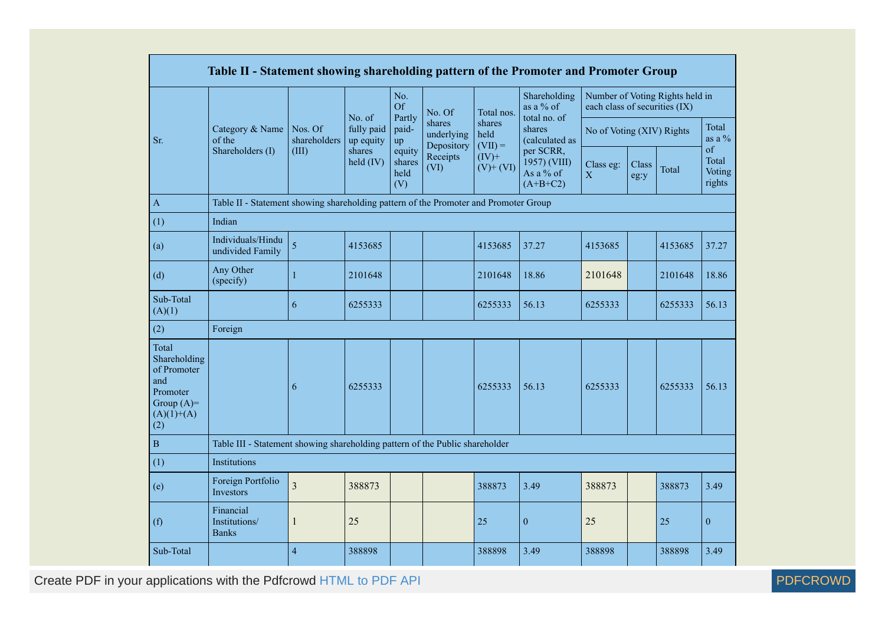|                                                                                                | Table II - Statement showing shareholding pattern of the Promoter and Promoter Group |                                  |                                                  |                                 |                                    |                             |                                                      |                               |                           |                                 |                                 |
|------------------------------------------------------------------------------------------------|--------------------------------------------------------------------------------------|----------------------------------|--------------------------------------------------|---------------------------------|------------------------------------|-----------------------------|------------------------------------------------------|-------------------------------|---------------------------|---------------------------------|---------------------------------|
|                                                                                                |                                                                                      |                                  | No. of                                           | No.<br>Of<br>Partly             | No. Of                             | Total nos.                  | Shareholding<br>as a % of<br>total no. of            | each class of securities (IX) |                           | Number of Voting Rights held in |                                 |
| Sr.                                                                                            | Category & Name<br>of the<br>Shareholders (I)                                        | Nos. Of<br>shareholders<br>(III) | fully paid<br>up equity<br>shares<br>$held$ (IV) | paid-<br>up                     | shares<br>underlying<br>Depository | shares<br>held<br>$(VII) =$ | shares<br>(calculated as                             |                               | No of Voting (XIV) Rights |                                 | Total<br>as a $\%$              |
|                                                                                                |                                                                                      |                                  |                                                  | equity<br>shares<br>held<br>(V) | Receipts<br>(VI)                   | $(IV)+$<br>$(V)$ + $(VI)$   | per SCRR,<br>1957) (VIII)<br>As a % of<br>$(A+B+C2)$ | Class eg:<br>$\mathbf X$      | Class<br>eg:y             | Total                           | of<br>Total<br>Voting<br>rights |
| $\overline{A}$                                                                                 | Table II - Statement showing shareholding pattern of the Promoter and Promoter Group |                                  |                                                  |                                 |                                    |                             |                                                      |                               |                           |                                 |                                 |
| (1)                                                                                            | Indian                                                                               |                                  |                                                  |                                 |                                    |                             |                                                      |                               |                           |                                 |                                 |
| (a)                                                                                            | Individuals/Hindu<br>undivided Family                                                | $\overline{5}$                   | 4153685                                          |                                 |                                    | 4153685                     | 37.27                                                | 4153685                       |                           | 4153685                         | 37.27                           |
| (d)                                                                                            | Any Other<br>(specify)                                                               | $\mathbf{1}$                     | 2101648                                          |                                 |                                    | 2101648                     | 18.86                                                | 2101648                       |                           | 2101648                         | 18.86                           |
| Sub-Total<br>(A)(1)                                                                            |                                                                                      | 6                                | 6255333                                          |                                 |                                    | 6255333                     | 56.13                                                | 6255333                       |                           | 6255333                         | 56.13                           |
| (2)                                                                                            | Foreign                                                                              |                                  |                                                  |                                 |                                    |                             |                                                      |                               |                           |                                 |                                 |
| Total<br>Shareholding<br>of Promoter<br>and<br>Promoter<br>Group $(A)=$<br>$(A)(1)+(A)$<br>(2) |                                                                                      | 6                                | 6255333                                          |                                 |                                    | 6255333                     | 56.13                                                | 6255333                       |                           | 6255333                         | 56.13                           |
| $\, {\bf B}$                                                                                   | Table III - Statement showing shareholding pattern of the Public shareholder         |                                  |                                                  |                                 |                                    |                             |                                                      |                               |                           |                                 |                                 |
| (1)                                                                                            | Institutions                                                                         |                                  |                                                  |                                 |                                    |                             |                                                      |                               |                           |                                 |                                 |
| (e)                                                                                            | Foreign Portfolio<br>Investors                                                       | 3                                | 388873                                           |                                 |                                    | 388873                      | 3.49                                                 | 388873                        |                           | 388873                          | 3.49                            |
| (f)                                                                                            | Financial<br>Institutions/<br><b>Banks</b>                                           | $\mathbf{1}$                     | 25                                               |                                 |                                    | 25                          | $\mathbf{0}$                                         | 25                            |                           | 25                              | $\mathbf{0}$                    |
| Sub-Total                                                                                      |                                                                                      | $\overline{4}$                   | 388898                                           |                                 |                                    | 388898                      | 3.49                                                 | 388898                        |                           | 388898                          | 3.49                            |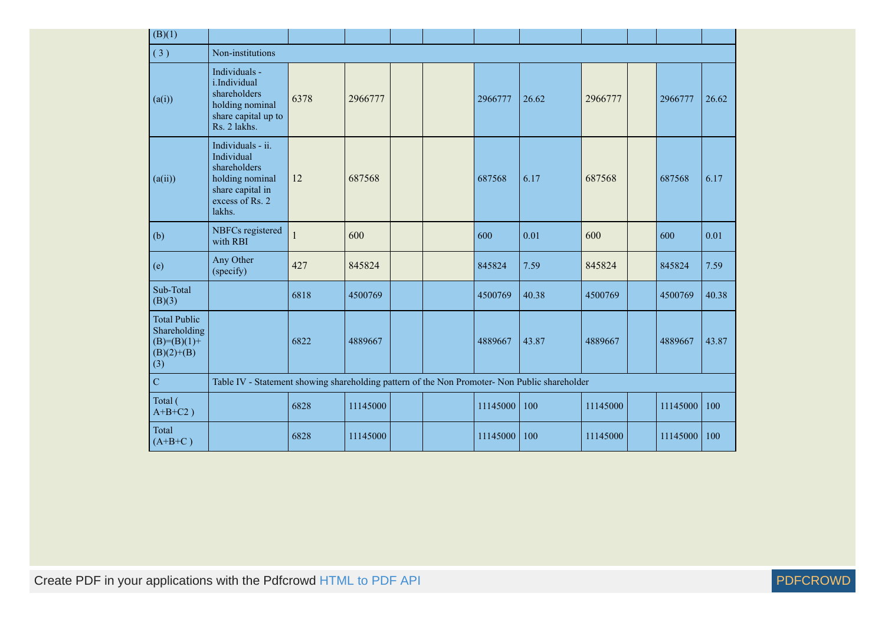| (B)(1)                                                                        |                                                                                                                     |      |          |  |  |          |       |          |  |          |       |
|-------------------------------------------------------------------------------|---------------------------------------------------------------------------------------------------------------------|------|----------|--|--|----------|-------|----------|--|----------|-------|
| (3)                                                                           | Non-institutions                                                                                                    |      |          |  |  |          |       |          |  |          |       |
| (a(i))                                                                        | Individuals -<br>i.Individual<br>shareholders<br>holding nominal<br>share capital up to<br>Rs. 2 lakhs.             | 6378 | 2966777  |  |  | 2966777  | 26.62 | 2966777  |  | 2966777  | 26.62 |
| (a(ii))                                                                       | Individuals - ii.<br>Individual<br>shareholders<br>holding nominal<br>share capital in<br>excess of Rs. 2<br>lakhs. | 12   | 687568   |  |  | 687568   | 6.17  | 687568   |  | 687568   | 6.17  |
| (b)                                                                           | NBFCs registered<br>with RBI                                                                                        | 1    | 600      |  |  | 600      | 0.01  | 600      |  | 600      | 0.01  |
| (e)                                                                           | Any Other<br>(specify)                                                                                              | 427  | 845824   |  |  | 845824   | 7.59  | 845824   |  | 845824   | 7.59  |
| Sub-Total<br>(B)(3)                                                           |                                                                                                                     | 6818 | 4500769  |  |  | 4500769  | 40.38 | 4500769  |  | 4500769  | 40.38 |
| <b>Total Public</b><br>Shareholding<br>$(B)= (B)(1) +$<br>$(B)(2)+(B)$<br>(3) |                                                                                                                     | 6822 | 4889667  |  |  | 4889667  | 43.87 | 4889667  |  | 4889667  | 43.87 |
| $\overline{C}$                                                                | Table IV - Statement showing shareholding pattern of the Non Promoter- Non Public shareholder                       |      |          |  |  |          |       |          |  |          |       |
| Total (<br>$A+B+C2$ )                                                         |                                                                                                                     | 6828 | 11145000 |  |  | 11145000 | 100   | 11145000 |  | 11145000 | 100   |
| Total<br>$(A+B+C)$                                                            |                                                                                                                     | 6828 | 11145000 |  |  | 11145000 | 100   | 11145000 |  | 11145000 | 100   |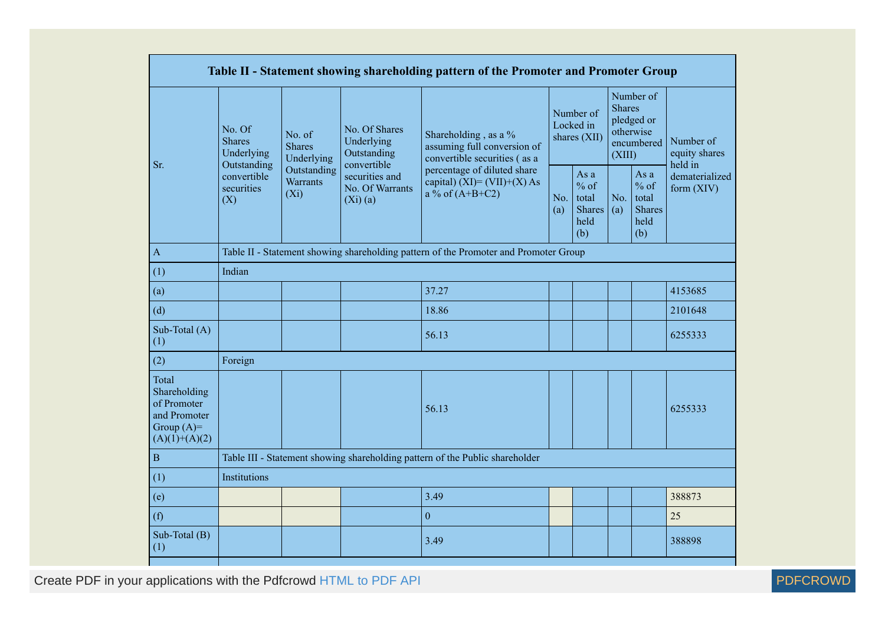|                                                                                         |                                                                                                             |                                           |                                              | Table II - Statement showing shareholding pattern of the Promoter and Promoter Group                                          |  |                                                         |                                                                               |                                                         |                                       |  |
|-----------------------------------------------------------------------------------------|-------------------------------------------------------------------------------------------------------------|-------------------------------------------|----------------------------------------------|-------------------------------------------------------------------------------------------------------------------------------|--|---------------------------------------------------------|-------------------------------------------------------------------------------|---------------------------------------------------------|---------------------------------------|--|
| Sr.                                                                                     | No. Of<br>No. of<br><b>Shares</b><br>Underlying<br><b>Shares</b><br>Underlying<br>Underlying<br>Outstanding |                                           | No. Of Shares<br>Outstanding<br>convertible  | Number of<br>Locked in<br>Shareholding, as a %<br>shares (XII)<br>assuming full conversion of<br>convertible securities (as a |  |                                                         | Number of<br><b>Shares</b><br>pledged or<br>otherwise<br>encumbered<br>(XIII) |                                                         | Number of<br>equity shares<br>held in |  |
|                                                                                         | convertible<br>securities<br>(X)                                                                            | Outstanding<br><b>Warrants</b><br>$(X_i)$ | securities and<br>No. Of Warrants<br>(Xi)(a) | percentage of diluted share<br>capital) (XI)= $(VII)+(X)$ As<br>a % of $(A+B+C2)$<br>No.<br>(a)                               |  | As a<br>$%$ of<br>total<br><b>Shares</b><br>held<br>(b) | No.<br>(a)                                                                    | As a<br>$%$ of<br>total<br><b>Shares</b><br>held<br>(b) | dematerialized<br>form $(XIV)$        |  |
| $\overline{A}$                                                                          |                                                                                                             |                                           |                                              | Table II - Statement showing shareholding pattern of the Promoter and Promoter Group                                          |  |                                                         |                                                                               |                                                         |                                       |  |
| (1)                                                                                     | Indian                                                                                                      |                                           |                                              |                                                                                                                               |  |                                                         |                                                                               |                                                         |                                       |  |
| (a)                                                                                     |                                                                                                             |                                           |                                              | 37.27                                                                                                                         |  |                                                         |                                                                               |                                                         | 4153685                               |  |
| (d)                                                                                     |                                                                                                             |                                           |                                              | 18.86                                                                                                                         |  |                                                         |                                                                               |                                                         | 2101648                               |  |
| Sub-Total (A)<br>(1)                                                                    |                                                                                                             |                                           |                                              | 56.13                                                                                                                         |  |                                                         |                                                                               |                                                         | 6255333                               |  |
| (2)                                                                                     | Foreign                                                                                                     |                                           |                                              |                                                                                                                               |  |                                                         |                                                                               |                                                         |                                       |  |
| Total<br>Shareholding<br>of Promoter<br>and Promoter<br>Group $(A)=$<br>$(A)(1)+(A)(2)$ |                                                                                                             |                                           |                                              | 56.13                                                                                                                         |  |                                                         |                                                                               |                                                         | 6255333                               |  |
| $\, {\bf B}$                                                                            |                                                                                                             |                                           |                                              | Table III - Statement showing shareholding pattern of the Public shareholder                                                  |  |                                                         |                                                                               |                                                         |                                       |  |
| (1)                                                                                     | Institutions                                                                                                |                                           |                                              |                                                                                                                               |  |                                                         |                                                                               |                                                         |                                       |  |
| (e)                                                                                     |                                                                                                             |                                           |                                              | 3.49                                                                                                                          |  |                                                         |                                                                               |                                                         | 388873                                |  |
| (f)                                                                                     |                                                                                                             |                                           |                                              | $\mathbf{0}$                                                                                                                  |  |                                                         |                                                                               |                                                         | 25                                    |  |
| Sub-Total (B)<br>(1)                                                                    |                                                                                                             |                                           |                                              | 3.49                                                                                                                          |  |                                                         |                                                                               |                                                         | 388898                                |  |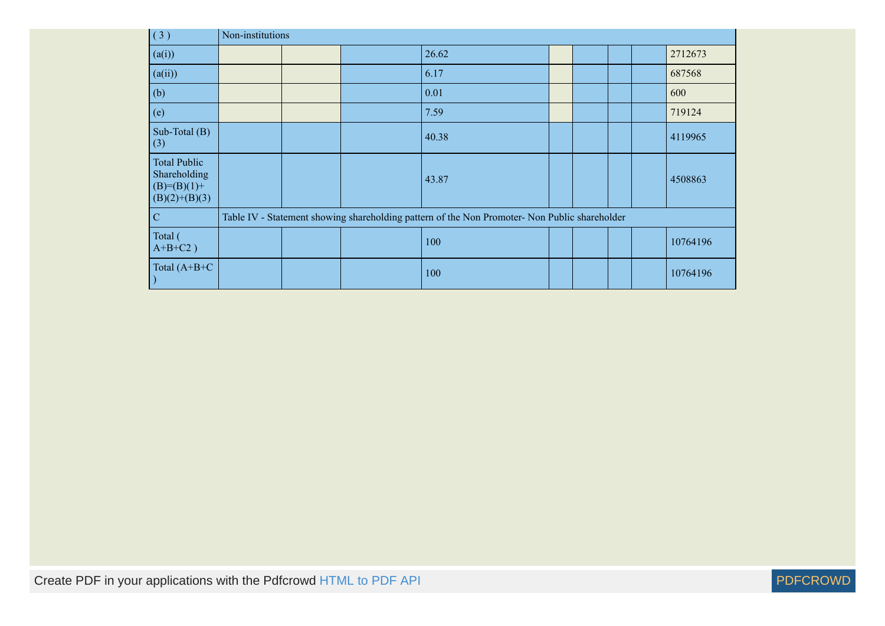| (3)                                                                       | Non-institutions |  |                                                                                               |  |  |          |
|---------------------------------------------------------------------------|------------------|--|-----------------------------------------------------------------------------------------------|--|--|----------|
| (a(i))                                                                    |                  |  | 26.62                                                                                         |  |  | 2712673  |
| (a(ii))                                                                   |                  |  | 6.17                                                                                          |  |  | 687568   |
| (b)                                                                       |                  |  | 0.01                                                                                          |  |  | 600      |
| (e)                                                                       |                  |  | 7.59                                                                                          |  |  | 719124   |
| Sub-Total (B)<br>(3)                                                      |                  |  | 40.38                                                                                         |  |  | 4119965  |
| <b>Total Public</b><br>Shareholding<br>$(B)= (B)(1) +$<br>$(B)(2)+(B)(3)$ |                  |  | 43.87                                                                                         |  |  | 4508863  |
| $\mathbf C$                                                               |                  |  | Table IV - Statement showing shareholding pattern of the Non Promoter- Non Public shareholder |  |  |          |
| Total (<br>$A+B+C2$ )                                                     |                  |  | 100                                                                                           |  |  | 10764196 |
| Total $(A+B+C)$                                                           |                  |  | 100                                                                                           |  |  | 10764196 |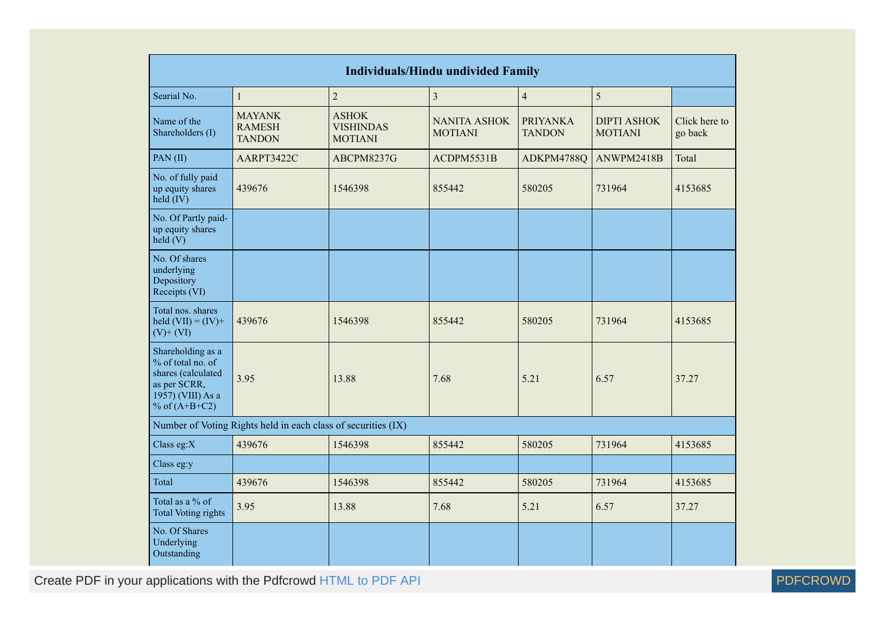|                                                                                                                      |                                                               |                                                    | <b>Individuals/Hindu undivided Family</b> |                                  |                                      |                          |
|----------------------------------------------------------------------------------------------------------------------|---------------------------------------------------------------|----------------------------------------------------|-------------------------------------------|----------------------------------|--------------------------------------|--------------------------|
| Searial No.                                                                                                          | 1                                                             | $\boldsymbol{2}$                                   | $\overline{3}$                            | $\overline{4}$                   | 5                                    |                          |
| Name of the<br>Shareholders (I)                                                                                      | <b>MAYANK</b><br><b>RAMESH</b><br><b>TANDON</b>               | <b>ASHOK</b><br><b>VISHINDAS</b><br><b>MOTIANI</b> | <b>NANITA ASHOK</b><br><b>MOTIANI</b>     | <b>PRIYANKA</b><br><b>TANDON</b> | <b>DIPTI ASHOK</b><br><b>MOTIANI</b> | Click here to<br>go back |
| PAN (II)                                                                                                             | AARPT3422C                                                    | ABCPM8237G                                         | ACDPM5531B                                | ADKPM4788Q                       | ANWPM2418B                           | Total                    |
| No. of fully paid<br>up equity shares<br>$held$ (IV)                                                                 | 439676                                                        | 1546398                                            | 855442                                    | 580205                           | 731964                               | 4153685                  |
| No. Of Partly paid-<br>up equity shares<br>held (V)                                                                  |                                                               |                                                    |                                           |                                  |                                      |                          |
| No. Of shares<br>underlying<br>Depository<br>Receipts (VI)                                                           |                                                               |                                                    |                                           |                                  |                                      |                          |
| Total nos. shares<br>held $(VII) = (IV) +$<br>$(V)$ + $(VI)$                                                         | 439676                                                        | 1546398                                            | 855442                                    | 580205                           | 731964                               | 4153685                  |
| Shareholding as a<br>% of total no. of<br>shares (calculated<br>as per SCRR,<br>1957) (VIII) As a<br>% of $(A+B+C2)$ | 3.95                                                          | 13.88                                              | 7.68                                      | 5.21                             | 6.57                                 | 37.27                    |
|                                                                                                                      | Number of Voting Rights held in each class of securities (IX) |                                                    |                                           |                                  |                                      |                          |
| Class eg:X                                                                                                           | 439676                                                        | 1546398                                            | 855442                                    | 580205                           | 731964                               | 4153685                  |
| Class eg:y                                                                                                           |                                                               |                                                    |                                           |                                  |                                      |                          |
| Total                                                                                                                | 439676                                                        | 1546398                                            | 855442                                    | 580205                           | 731964                               | 4153685                  |
| Total as a % of<br><b>Total Voting rights</b>                                                                        | 3.95                                                          | 13.88                                              | 7.68                                      | 5.21                             | 6.57                                 | 37.27                    |
| No. Of Shares<br>Underlying<br>Outstanding                                                                           |                                                               |                                                    |                                           |                                  |                                      |                          |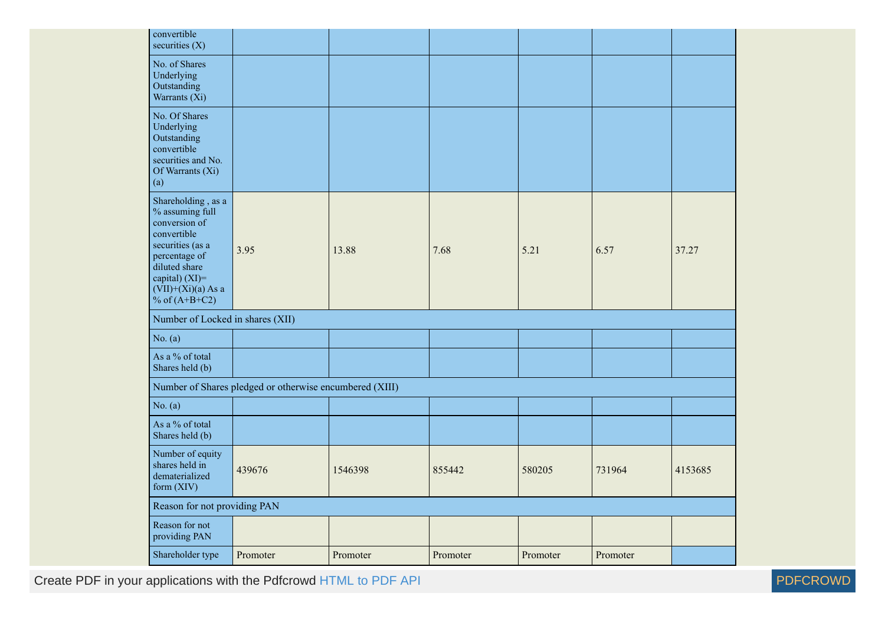| convertible<br>securities $(X)$                                                                                                                                                             |                                                         |          |          |          |          |         |
|---------------------------------------------------------------------------------------------------------------------------------------------------------------------------------------------|---------------------------------------------------------|----------|----------|----------|----------|---------|
| No. of Shares<br>Underlying<br>Outstanding<br>Warrants (Xi)                                                                                                                                 |                                                         |          |          |          |          |         |
| No. Of Shares<br>Underlying<br>Outstanding<br>convertible<br>securities and No.<br>Of Warrants (Xi)<br>(a)                                                                                  |                                                         |          |          |          |          |         |
| Shareholding, as a<br>% assuming full<br>conversion of<br>convertible<br>securities (as a<br>percentage of<br>diluted share<br>capital) $(XI)$ =<br>$(VII)+(Xi)(a)$ As a<br>% of $(A+B+C2)$ | 3.95                                                    | 13.88    | 7.68     | 5.21     | 6.57     | 37.27   |
| Number of Locked in shares (XII)                                                                                                                                                            |                                                         |          |          |          |          |         |
| No. $(a)$                                                                                                                                                                                   |                                                         |          |          |          |          |         |
| As a % of total<br>Shares held (b)                                                                                                                                                          |                                                         |          |          |          |          |         |
|                                                                                                                                                                                             | Number of Shares pledged or otherwise encumbered (XIII) |          |          |          |          |         |
| No. (a)                                                                                                                                                                                     |                                                         |          |          |          |          |         |
| As a % of total<br>Shares held (b)                                                                                                                                                          |                                                         |          |          |          |          |         |
| Number of equity<br>shares held in<br>dematerialized<br>form (XIV)                                                                                                                          | 439676                                                  | 1546398  | 855442   | 580205   | 731964   | 4153685 |
| Reason for not providing PAN                                                                                                                                                                |                                                         |          |          |          |          |         |
| Reason for not<br>providing PAN                                                                                                                                                             |                                                         |          |          |          |          |         |
| Shareholder type                                                                                                                                                                            | Promoter                                                | Promoter | Promoter | Promoter | Promoter |         |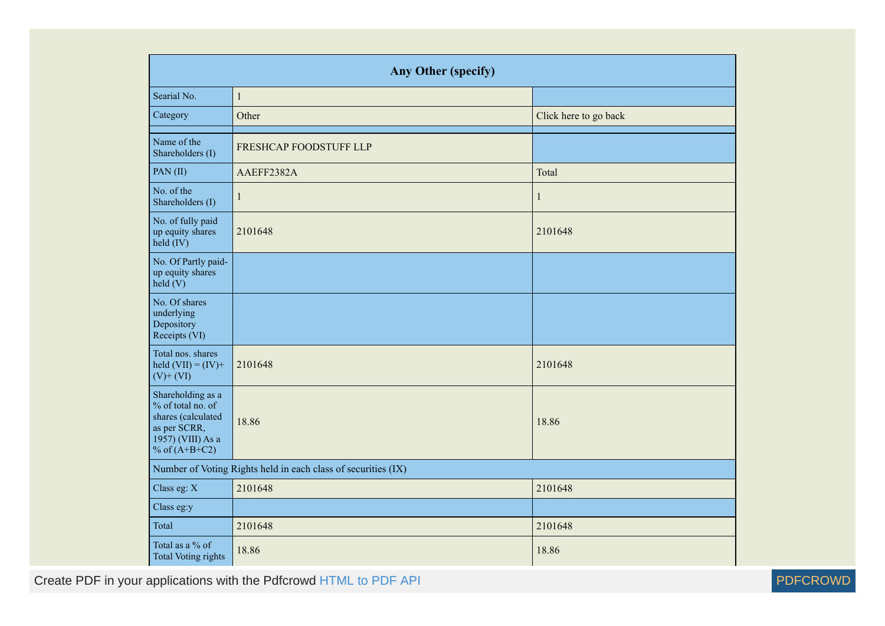|                                                                                                                      | Any Other (specify)                                           |                       |  |  |  |  |  |  |  |
|----------------------------------------------------------------------------------------------------------------------|---------------------------------------------------------------|-----------------------|--|--|--|--|--|--|--|
| Searial No.                                                                                                          | $\,1$                                                         |                       |  |  |  |  |  |  |  |
| Category                                                                                                             | Other                                                         | Click here to go back |  |  |  |  |  |  |  |
| Name of the<br>Shareholders (I)                                                                                      | FRESHCAP FOODSTUFF LLP                                        |                       |  |  |  |  |  |  |  |
| PAN(II)                                                                                                              | AAEFF2382A                                                    | Total                 |  |  |  |  |  |  |  |
| No. of the<br>Shareholders (I)                                                                                       | 1                                                             | 1                     |  |  |  |  |  |  |  |
| No. of fully paid<br>up equity shares<br>$held$ (IV)                                                                 | 2101648                                                       | 2101648               |  |  |  |  |  |  |  |
| No. Of Partly paid-<br>up equity shares<br>$\text{held}(V)$                                                          |                                                               |                       |  |  |  |  |  |  |  |
| No. Of shares<br>underlying<br>Depository<br>Receipts (VI)                                                           |                                                               |                       |  |  |  |  |  |  |  |
| Total nos. shares<br>held $(VII) = (IV) +$<br>$(V)$ + $(VI)$                                                         | 2101648                                                       | 2101648               |  |  |  |  |  |  |  |
| Shareholding as a<br>% of total no. of<br>shares (calculated<br>as per SCRR,<br>1957) (VIII) As a<br>% of $(A+B+C2)$ | 18.86                                                         | 18.86                 |  |  |  |  |  |  |  |
|                                                                                                                      | Number of Voting Rights held in each class of securities (IX) |                       |  |  |  |  |  |  |  |
| Class eg: X                                                                                                          | 2101648                                                       | 2101648               |  |  |  |  |  |  |  |
| Class eg:y                                                                                                           |                                                               |                       |  |  |  |  |  |  |  |
| Total                                                                                                                | 2101648                                                       | 2101648               |  |  |  |  |  |  |  |
| Total as a % of<br><b>Total Voting rights</b>                                                                        | 18.86                                                         | 18.86                 |  |  |  |  |  |  |  |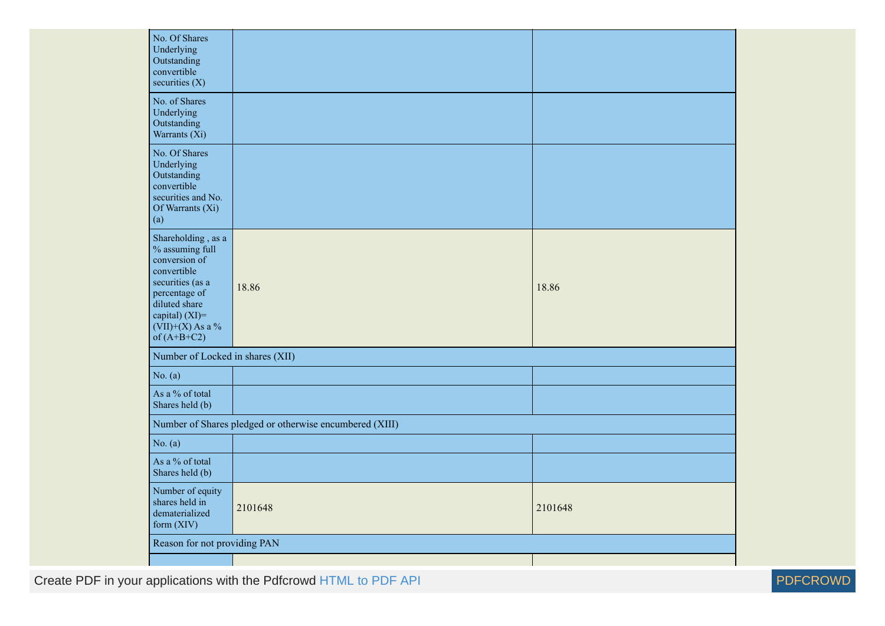| No. Of Shares<br>Underlying<br>Outstanding<br>convertible<br>securities $(X)$                                                                                                        |                                                         |         |
|--------------------------------------------------------------------------------------------------------------------------------------------------------------------------------------|---------------------------------------------------------|---------|
| No. of Shares<br>Underlying<br>Outstanding<br>Warrants (Xi)                                                                                                                          |                                                         |         |
| No. Of Shares<br>Underlying<br>Outstanding<br>convertible<br>securities and No.<br>Of Warrants (Xi)<br>(a)                                                                           |                                                         |         |
| Shareholding, as a<br>% assuming full<br>conversion of<br>convertible<br>securities (as a<br>percentage of<br>diluted share<br>capital) (XI)=<br>$(VII)+(X)$ As a %<br>of $(A+B+C2)$ | 18.86                                                   | 18.86   |
| Number of Locked in shares (XII)                                                                                                                                                     |                                                         |         |
| No. $(a)$                                                                                                                                                                            |                                                         |         |
| As a % of total<br>Shares held (b)                                                                                                                                                   |                                                         |         |
|                                                                                                                                                                                      | Number of Shares pledged or otherwise encumbered (XIII) |         |
| No. $(a)$                                                                                                                                                                            |                                                         |         |
| As a % of total<br>Shares held (b)                                                                                                                                                   |                                                         |         |
| Number of equity<br>shares held in<br>dematerialized<br>form (XIV)                                                                                                                   | 2101648                                                 | 2101648 |
| Reason for not providing PAN                                                                                                                                                         |                                                         |         |
|                                                                                                                                                                                      |                                                         |         |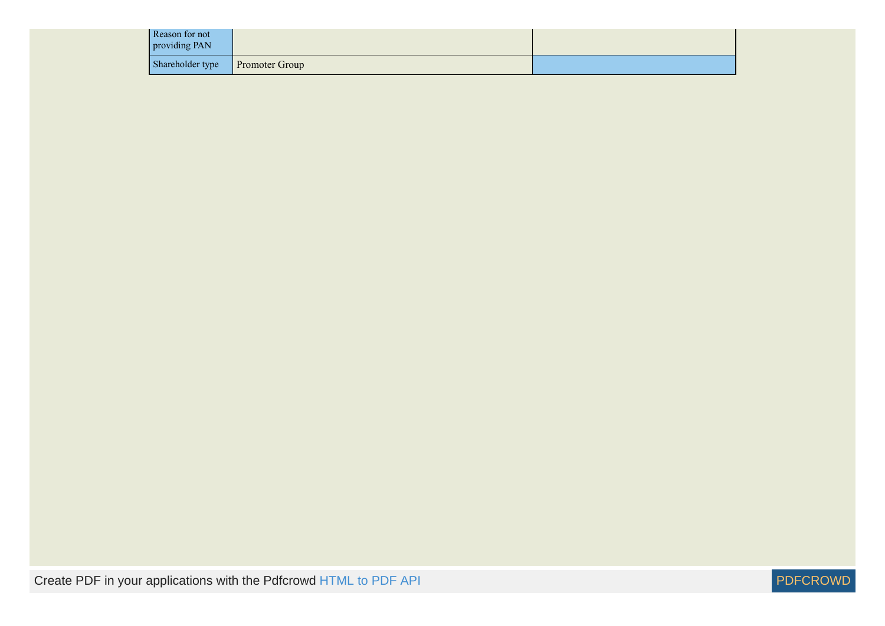| Reason for not<br>providing PAN |                       |  |
|---------------------------------|-----------------------|--|
| Shareholder type                | <b>Promoter Group</b> |  |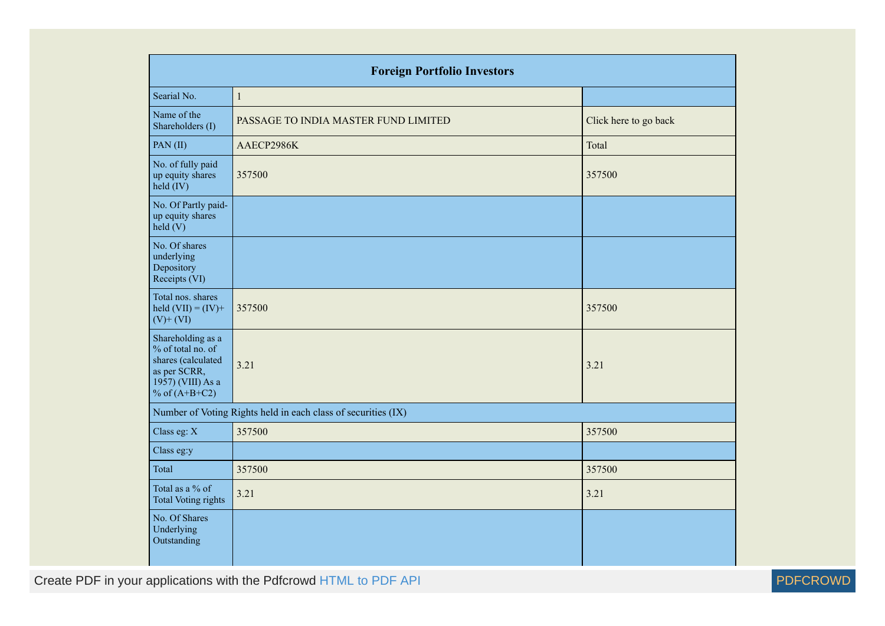| <b>Foreign Portfolio Investors</b>                                                                                   |                                                               |                       |  |  |  |  |  |  |  |
|----------------------------------------------------------------------------------------------------------------------|---------------------------------------------------------------|-----------------------|--|--|--|--|--|--|--|
| Searial No.                                                                                                          | $\mathbf{1}$                                                  |                       |  |  |  |  |  |  |  |
| Name of the<br>Shareholders (I)                                                                                      | PASSAGE TO INDIA MASTER FUND LIMITED                          | Click here to go back |  |  |  |  |  |  |  |
| PAN(II)                                                                                                              | AAECP2986K                                                    | Total                 |  |  |  |  |  |  |  |
| No. of fully paid<br>up equity shares<br>$\text{held}(\text{IV})$                                                    | 357500                                                        | 357500                |  |  |  |  |  |  |  |
| No. Of Partly paid-<br>up equity shares<br>$\text{held}$ (V)                                                         |                                                               |                       |  |  |  |  |  |  |  |
| No. Of shares<br>underlying<br>Depository<br>Receipts (VI)                                                           |                                                               |                       |  |  |  |  |  |  |  |
| Total nos. shares<br>held $(VII) = (IV) +$<br>$(V)$ + $(VI)$                                                         | 357500                                                        | 357500                |  |  |  |  |  |  |  |
| Shareholding as a<br>% of total no. of<br>shares (calculated<br>as per SCRR,<br>1957) (VIII) As a<br>% of $(A+B+C2)$ | 3.21                                                          | 3.21                  |  |  |  |  |  |  |  |
|                                                                                                                      | Number of Voting Rights held in each class of securities (IX) |                       |  |  |  |  |  |  |  |
| Class eg: X                                                                                                          | 357500                                                        | 357500                |  |  |  |  |  |  |  |
| Class eg:y                                                                                                           |                                                               |                       |  |  |  |  |  |  |  |
| Total                                                                                                                | 357500                                                        | 357500                |  |  |  |  |  |  |  |
| Total as a % of<br><b>Total Voting rights</b>                                                                        | 3.21                                                          | 3.21                  |  |  |  |  |  |  |  |
| No. Of Shares<br>Underlying<br>Outstanding                                                                           |                                                               |                       |  |  |  |  |  |  |  |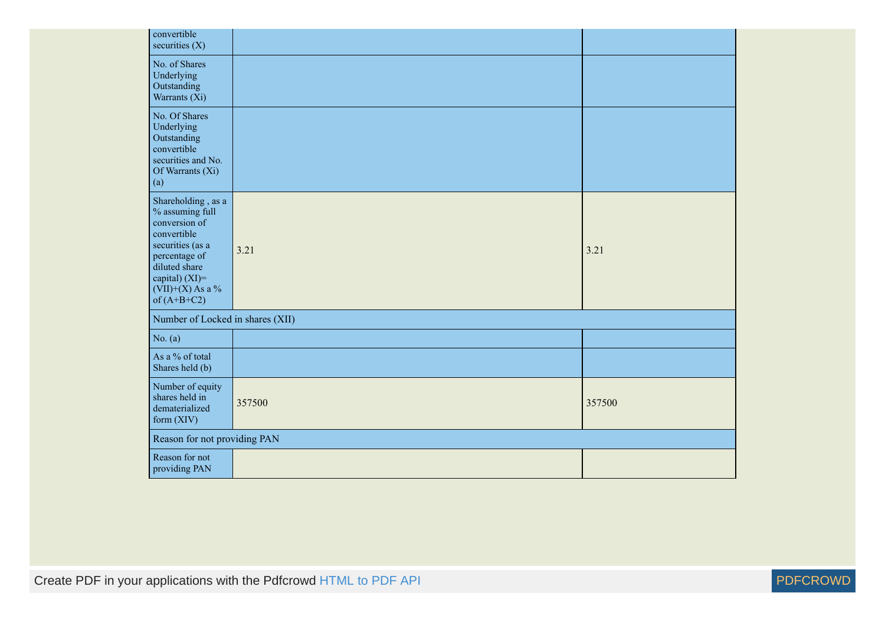| convertible<br>securities $(X)$                                                                                                                                                      |        |        |
|--------------------------------------------------------------------------------------------------------------------------------------------------------------------------------------|--------|--------|
| No. of Shares<br>Underlying<br>Outstanding<br>Warrants (Xi)                                                                                                                          |        |        |
| No. Of Shares<br>Underlying<br>Outstanding<br>convertible<br>securities and No.<br>Of Warrants (Xi)<br>(a)                                                                           |        |        |
| Shareholding, as a<br>% assuming full<br>conversion of<br>convertible<br>securities (as a<br>percentage of<br>diluted share<br>capital) (XI)=<br>$(VII)+(X)$ As a %<br>of $(A+B+C2)$ | 3.21   | 3.21   |
| Number of Locked in shares (XII)                                                                                                                                                     |        |        |
| No. $(a)$                                                                                                                                                                            |        |        |
| As a % of total<br>Shares held (b)                                                                                                                                                   |        |        |
| Number of equity<br>shares held in<br>dematerialized<br>form $(XIV)$                                                                                                                 | 357500 | 357500 |
| Reason for not providing PAN                                                                                                                                                         |        |        |
| Reason for not<br>providing PAN                                                                                                                                                      |        |        |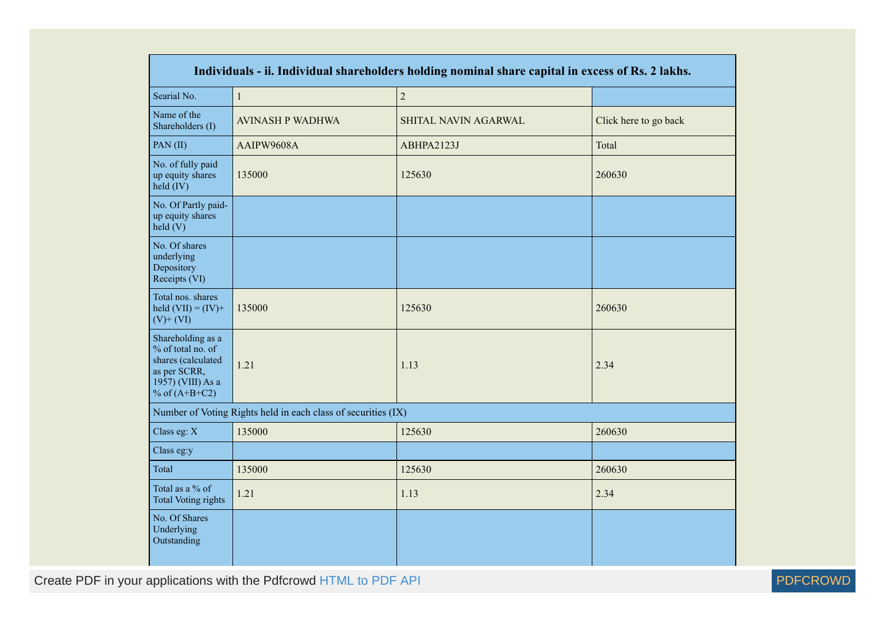| Individuals - ii. Individual shareholders holding nominal share capital in excess of Rs. 2 lakhs.                    |                                                               |                      |                       |  |  |  |  |  |  |
|----------------------------------------------------------------------------------------------------------------------|---------------------------------------------------------------|----------------------|-----------------------|--|--|--|--|--|--|
| Searial No.                                                                                                          | $\,1$                                                         | $\overline{c}$       |                       |  |  |  |  |  |  |
| Name of the<br>Shareholders (I)                                                                                      | <b>AVINASH P WADHWA</b>                                       | SHITAL NAVIN AGARWAL | Click here to go back |  |  |  |  |  |  |
| PAN(II)                                                                                                              | AAIPW9608A                                                    | ABHPA2123J           | Total                 |  |  |  |  |  |  |
| No. of fully paid<br>up equity shares<br>$held$ (IV)                                                                 | 135000                                                        | 125630               | 260630                |  |  |  |  |  |  |
| No. Of Partly paid-<br>up equity shares<br>$\text{held}(V)$                                                          |                                                               |                      |                       |  |  |  |  |  |  |
| No. Of shares<br>underlying<br>Depository<br>Receipts (VI)                                                           |                                                               |                      |                       |  |  |  |  |  |  |
| Total nos. shares<br>held $(VII) = (IV) +$<br>$(V)$ + $(VI)$                                                         | 135000                                                        | 125630               | 260630                |  |  |  |  |  |  |
| Shareholding as a<br>% of total no. of<br>shares (calculated<br>as per SCRR,<br>1957) (VIII) As a<br>% of $(A+B+C2)$ | 1.21                                                          | 1.13                 | 2.34                  |  |  |  |  |  |  |
|                                                                                                                      | Number of Voting Rights held in each class of securities (IX) |                      |                       |  |  |  |  |  |  |
| Class eg: X                                                                                                          | 135000                                                        | 125630               | 260630                |  |  |  |  |  |  |
| Class eg:y                                                                                                           |                                                               |                      |                       |  |  |  |  |  |  |
| Total                                                                                                                | 135000                                                        | 125630               | 260630                |  |  |  |  |  |  |
| Total as a % of<br><b>Total Voting rights</b>                                                                        | 1.21                                                          | 1.13                 | 2.34                  |  |  |  |  |  |  |
| No. Of Shares<br>Underlying<br>Outstanding                                                                           |                                                               |                      |                       |  |  |  |  |  |  |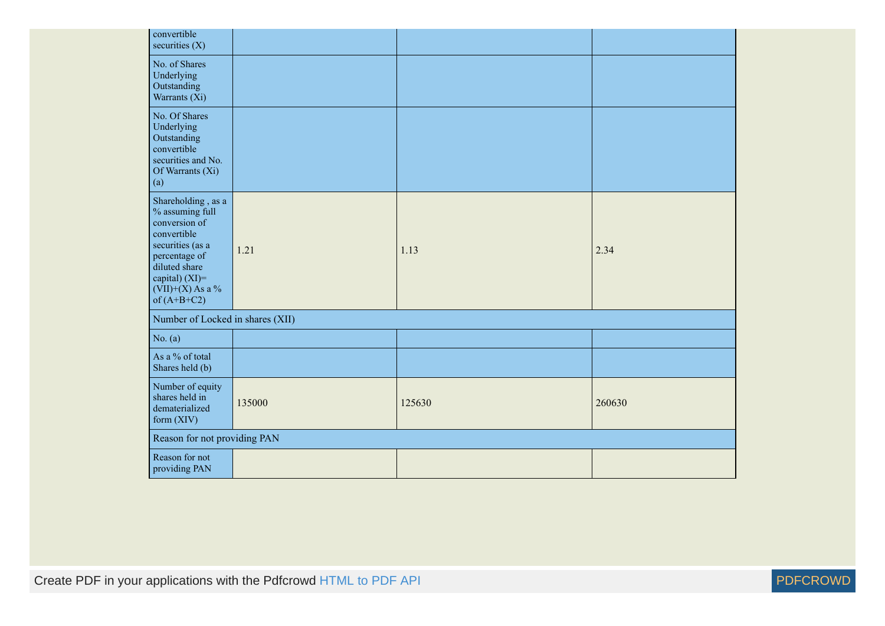| convertible<br>securities $(X)$                                                                                                                                                      |        |        |        |
|--------------------------------------------------------------------------------------------------------------------------------------------------------------------------------------|--------|--------|--------|
| No. of Shares<br>Underlying<br>Outstanding<br>Warrants (Xi)                                                                                                                          |        |        |        |
| No. Of Shares<br>Underlying<br>Outstanding<br>convertible<br>securities and No.<br>Of Warrants (Xi)<br>(a)                                                                           |        |        |        |
| Shareholding, as a<br>% assuming full<br>conversion of<br>convertible<br>securities (as a<br>percentage of<br>diluted share<br>capital) (XI)=<br>$(VII)+(X)$ As a %<br>of $(A+B+C2)$ | 1.21   | 1.13   | 2.34   |
| Number of Locked in shares (XII)                                                                                                                                                     |        |        |        |
| No. $(a)$                                                                                                                                                                            |        |        |        |
| As a % of total<br>Shares held (b)                                                                                                                                                   |        |        |        |
| Number of equity<br>shares held in<br>dematerialized<br>form (XIV)                                                                                                                   | 135000 | 125630 | 260630 |
| Reason for not providing PAN                                                                                                                                                         |        |        |        |
| Reason for not<br>providing PAN                                                                                                                                                      |        |        |        |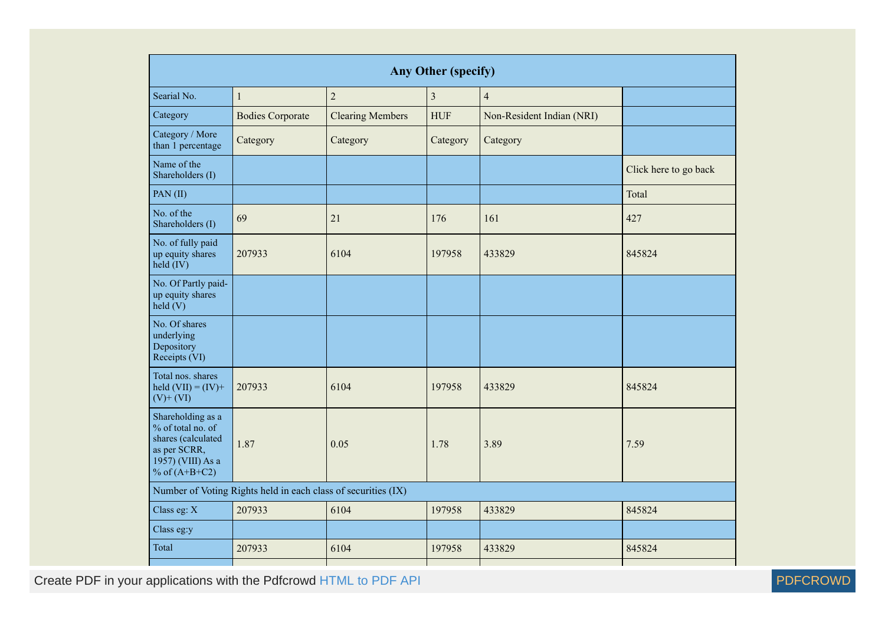| <b>Any Other (specify)</b>                                                                                           |                                                               |                         |                         |                           |                       |  |  |  |  |  |
|----------------------------------------------------------------------------------------------------------------------|---------------------------------------------------------------|-------------------------|-------------------------|---------------------------|-----------------------|--|--|--|--|--|
| Searial No.                                                                                                          | $\mathbf 1$                                                   | $\overline{2}$          | $\overline{\mathbf{3}}$ | $\overline{4}$            |                       |  |  |  |  |  |
| Category                                                                                                             | <b>Bodies Corporate</b>                                       | <b>Clearing Members</b> | <b>HUF</b>              | Non-Resident Indian (NRI) |                       |  |  |  |  |  |
| Category / More<br>than 1 percentage                                                                                 | Category                                                      | Category                | Category                | Category                  |                       |  |  |  |  |  |
| Name of the<br>Shareholders (I)                                                                                      |                                                               |                         |                         |                           | Click here to go back |  |  |  |  |  |
| PAN(II)                                                                                                              |                                                               |                         |                         | Total                     |                       |  |  |  |  |  |
| No. of the<br>Shareholders (I)                                                                                       | 69                                                            | 21                      | 176                     | 161                       | 427                   |  |  |  |  |  |
| No. of fully paid<br>up equity shares<br>$held$ (IV)                                                                 | 207933<br>6104                                                |                         | 197958<br>433829        |                           | 845824                |  |  |  |  |  |
| No. Of Partly paid-<br>up equity shares<br>held(V)                                                                   |                                                               |                         |                         |                           |                       |  |  |  |  |  |
| No. Of shares<br>underlying<br>Depository<br>Receipts (VI)                                                           |                                                               |                         |                         |                           |                       |  |  |  |  |  |
| Total nos. shares<br>held $(VII) = (IV) +$<br>$(V)$ + $(VI)$                                                         | 207933                                                        | 6104                    | 197958                  | 433829                    | 845824                |  |  |  |  |  |
| Shareholding as a<br>% of total no. of<br>shares (calculated<br>as per SCRR,<br>1957) (VIII) As a<br>% of $(A+B+C2)$ | 1.87                                                          | 0.05                    | 1.78                    | 3.89                      | 7.59                  |  |  |  |  |  |
|                                                                                                                      | Number of Voting Rights held in each class of securities (IX) |                         |                         |                           |                       |  |  |  |  |  |
| Class eg: X                                                                                                          | 207933                                                        | 6104                    | 197958                  | 433829                    | 845824                |  |  |  |  |  |
| Class eg:y                                                                                                           |                                                               |                         |                         |                           |                       |  |  |  |  |  |
| Total                                                                                                                | 207933                                                        | 6104                    | 197958                  | 433829                    | 845824                |  |  |  |  |  |
|                                                                                                                      |                                                               |                         |                         |                           |                       |  |  |  |  |  |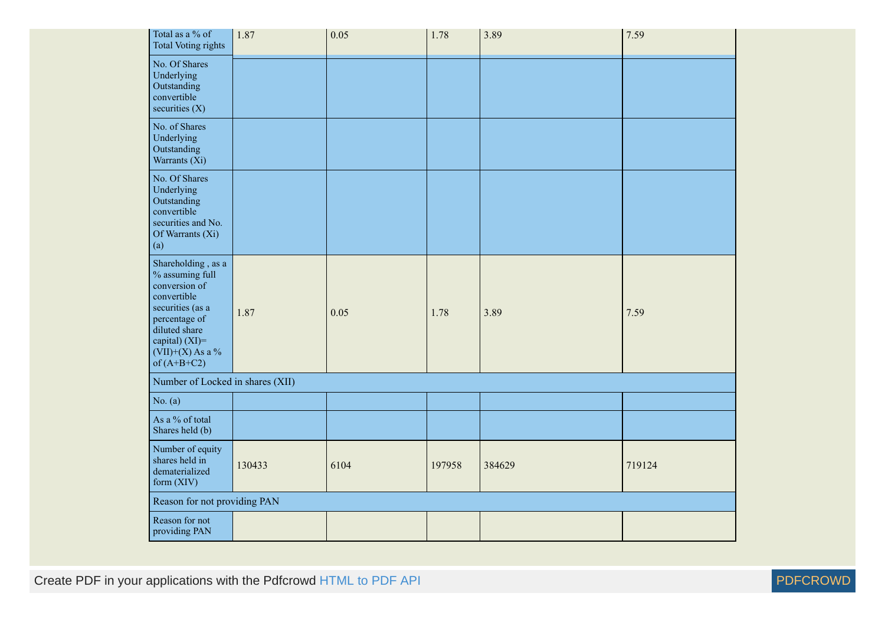| Total as a % of<br><b>Total Voting rights</b>                                                                                                                                        | 1.87   | 0.05 | 1.78   | 3.89   | 7.59   |
|--------------------------------------------------------------------------------------------------------------------------------------------------------------------------------------|--------|------|--------|--------|--------|
| No. Of Shares<br>Underlying<br>Outstanding<br>convertible<br>securities (X)                                                                                                          |        |      |        |        |        |
| No. of Shares<br>Underlying<br>Outstanding<br>Warrants (Xi)                                                                                                                          |        |      |        |        |        |
| No. Of Shares<br>Underlying<br>Outstanding<br>convertible<br>securities and No.<br>Of Warrants (Xi)<br>(a)                                                                           |        |      |        |        |        |
| Shareholding, as a<br>% assuming full<br>conversion of<br>convertible<br>securities (as a<br>percentage of<br>diluted share<br>capital) (XI)=<br>$(VII)+(X)$ As a %<br>of $(A+B+C2)$ | 1.87   | 0.05 | 1.78   | 3.89   | 7.59   |
| Number of Locked in shares (XII)                                                                                                                                                     |        |      |        |        |        |
| No. $(a)$                                                                                                                                                                            |        |      |        |        |        |
| As a % of total<br>Shares held (b)                                                                                                                                                   |        |      |        |        |        |
| Number of equity<br>shares held in<br>dematerialized<br>form (XIV)                                                                                                                   | 130433 | 6104 | 197958 | 384629 | 719124 |
| Reason for not providing PAN                                                                                                                                                         |        |      |        |        |        |
| Reason for not<br>providing PAN                                                                                                                                                      |        |      |        |        |        |